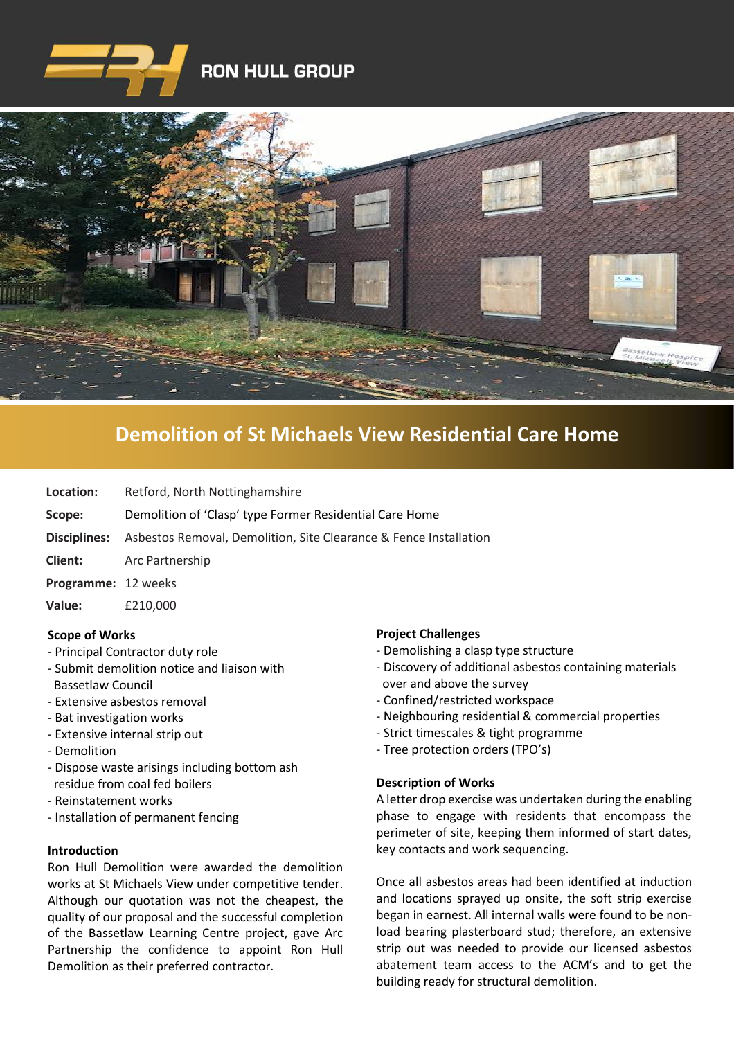



# **Demolition of [St Michaels View Residential Care Home](https://www.google.co.uk/imgres?imgurl=http%3A%2F%2Fwww.clenergy.co.uk%2FImageGen.ashx%3Fimage%3D%2Fmedia%2F1044%2Fcredit-solutia-2009-looking-south-4mb.jpg%26width%3D568%26height%3D320&imgrefurl=http%3A%2F%2Fwww.clenergy.co.uk%2Fprojects%2Fsolutia%2F&docid=l4QIaOP_OnRHZM&tbnid=A2rf481aMiEi8M%3A&vet=10ahUKEwie4JWq6srkAhX6SxUIHaTaDYwQMwg_KAEwAQ..i&w=568&h=320&bih=575&biw=1280&q=eastman%20chemical%20plant%20newport%20wales&ved=0ahUKEwie4JWq6srkAhX6SxUIHaTaDYwQMwg_KAEwAQ&iact=mrc&uact=8)**

**Location:** Retford, North Nottinghamshire

- **Scope:** Demolition of 'Clasp' type Former Residential Care Home
- **Disciplines:** Asbestos Removal, Demolition, Site Clearance & Fence Installation
- **Client:** Arc Partnership
- **Programme:** 12 weeks
- **Value:** £210,000

# **Scope of Works**

- Principal Contractor duty role
- Submit demolition notice and liaison with Bassetlaw Council
- Extensive asbestos removal
- Bat investigation works
- Extensive internal strip out
- Demolition
- Dispose waste arisings including bottom ash residue from coal fed boilers
- Reinstatement works
- Installation of permanent fencing

# **Introduction**

Ron Hull Demolition were awarded the demolition works at St Michaels View under competitive tender. Although our quotation was not the cheapest, the quality of our proposal and the successful completion of the Bassetlaw Learning Centre project, gave Arc Partnership the confidence to appoint Ron Hull Demolition as their preferred contractor.

# **Project Challenges**

- Demolishing a clasp type structure
- Discovery of additional asbestos containing materials over and above the survey
- Confined/restricted workspace
- Neighbouring residential & commercial properties
- Strict timescales & tight programme
- Tree protection orders (TPO's)

# **Description of Works**

A letter drop exercise was undertaken during the enabling phase to engage with residents that encompass the perimeter of site, keeping them informed of start dates, key contacts and work sequencing.

Once all asbestos areas had been identified at induction and locations sprayed up onsite, the soft strip exercise began in earnest. All internal walls were found to be nonload bearing plasterboard stud; therefore, an extensive strip out was needed to provide our licensed asbestos abatement team access to the ACM's and to get the building ready for structural demolition.